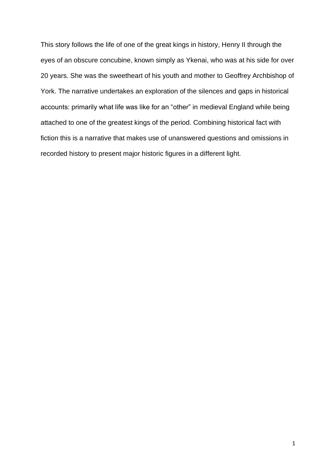This story follows the life of one of the great kings in history, Henry II through the eyes of an obscure concubine, known simply as Ykenai, who was at his side for over 20 years. She was the sweetheart of his youth and mother to Geoffrey Archbishop of York. The narrative undertakes an exploration of the silences and gaps in historical accounts: primarily what life was like for an "other" in medieval England while being attached to one of the greatest kings of the period. Combining historical fact with fiction this is a narrative that makes use of unanswered questions and omissions in recorded history to present major historic figures in a different light.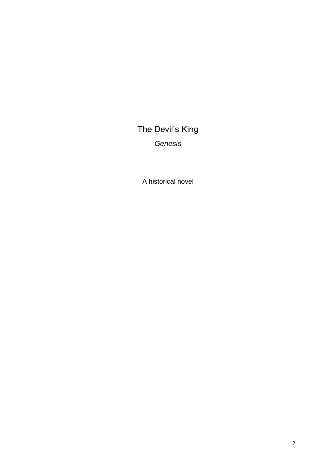The Devil's King *Genesis*

A historical novel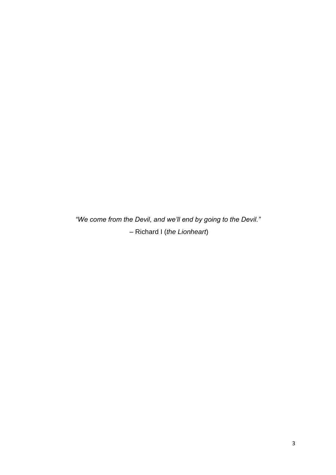*"We come from the Devil, and we'll end by going to the Devil."* – Richard I (*the Lionheart*)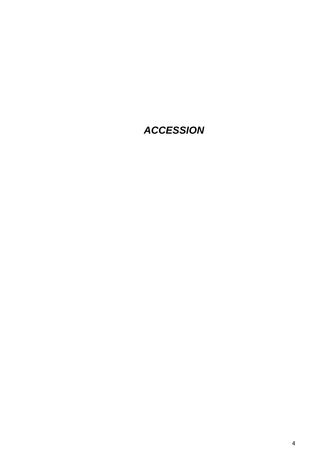## *ACCESSION*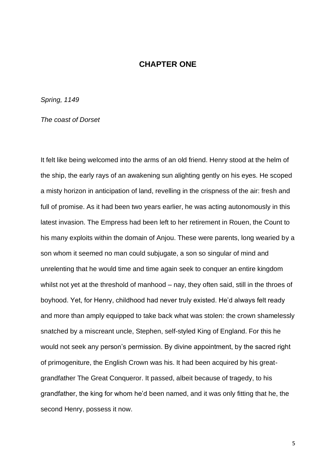## **CHAPTER ONE**

*Spring, 1149* 

*The coast of Dorset* 

It felt like being welcomed into the arms of an old friend. Henry stood at the helm of the ship, the early rays of an awakening sun alighting gently on his eyes. He scoped a misty horizon in anticipation of land, revelling in the crispness of the air: fresh and full of promise. As it had been two years earlier, he was acting autonomously in this latest invasion. The Empress had been left to her retirement in Rouen, the Count to his many exploits within the domain of Anjou. These were parents, long wearied by a son whom it seemed no man could subjugate, a son so singular of mind and unrelenting that he would time and time again seek to conquer an entire kingdom whilst not yet at the threshold of manhood – nay, they often said, still in the throes of boyhood. Yet, for Henry, childhood had never truly existed. He'd always felt ready and more than amply equipped to take back what was stolen: the crown shamelessly snatched by a miscreant uncle, Stephen, self-styled King of England. For this he would not seek any person's permission. By divine appointment, by the sacred right of primogeniture, the English Crown was his. It had been acquired by his greatgrandfather The Great Conqueror. It passed, albeit because of tragedy, to his grandfather, the king for whom he'd been named, and it was only fitting that he, the second Henry, possess it now.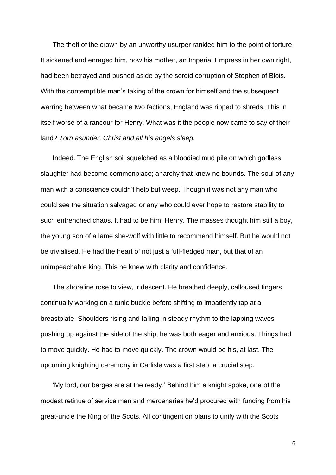The theft of the crown by an unworthy usurper rankled him to the point of torture. It sickened and enraged him, how his mother, an Imperial Empress in her own right, had been betrayed and pushed aside by the sordid corruption of Stephen of Blois. With the contemptible man's taking of the crown for himself and the subsequent warring between what became two factions, England was ripped to shreds. This in itself worse of a rancour for Henry. What was it the people now came to say of their land? *Torn asunder, Christ and all his angels sleep.*

Indeed. The English soil squelched as a bloodied mud pile on which godless slaughter had become commonplace; anarchy that knew no bounds. The soul of any man with a conscience couldn't help but weep. Though it was not any man who could see the situation salvaged or any who could ever hope to restore stability to such entrenched chaos. It had to be him, Henry. The masses thought him still a boy, the young son of a lame she-wolf with little to recommend himself. But he would not be trivialised. He had the heart of not just a full-fledged man, but that of an unimpeachable king. This he knew with clarity and confidence.

The shoreline rose to view, iridescent. He breathed deeply, calloused fingers continually working on a tunic buckle before shifting to impatiently tap at a breastplate. Shoulders rising and falling in steady rhythm to the lapping waves pushing up against the side of the ship, he was both eager and anxious. Things had to move quickly. He had to move quickly. The crown would be his, at last. The upcoming knighting ceremony in Carlisle was a first step, a crucial step.

'My lord, our barges are at the ready.' Behind him a knight spoke, one of the modest retinue of service men and mercenaries he'd procured with funding from his great-uncle the King of the Scots. All contingent on plans to unify with the Scots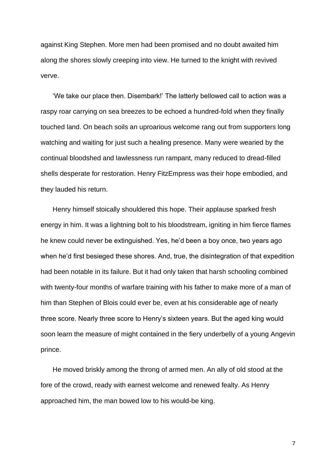against King Stephen. More men had been promised and no doubt awaited him along the shores slowly creeping into view. He turned to the knight with revived verve.

'We take our place then. Disembark!' The latterly bellowed call to action was a raspy roar carrying on sea breezes to be echoed a hundred-fold when they finally touched land. On beach soils an uproarious welcome rang out from supporters long watching and waiting for just such a healing presence. Many were wearied by the continual bloodshed and lawlessness run rampant, many reduced to dread-filled shells desperate for restoration. Henry FitzEmpress was their hope embodied, and they lauded his return.

Henry himself stoically shouldered this hope. Their applause sparked fresh energy in him. It was a lightning bolt to his bloodstream, igniting in him fierce flames he knew could never be extinguished. Yes, he'd been a boy once, two years ago when he'd first besieged these shores. And, true, the disintegration of that expedition had been notable in its failure. But it had only taken that harsh schooling combined with twenty-four months of warfare training with his father to make more of a man of him than Stephen of Blois could ever be, even at his considerable age of nearly three score. Nearly three score to Henry's sixteen years. But the aged king would soon learn the measure of might contained in the fiery underbelly of a young Angevin prince.

He moved briskly among the throng of armed men. An ally of old stood at the fore of the crowd, ready with earnest welcome and renewed fealty. As Henry approached him, the man bowed low to his would-be king.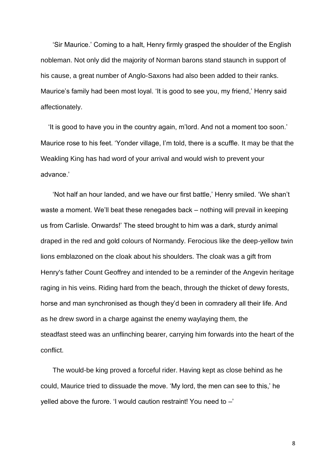'Sir Maurice.' Coming to a halt, Henry firmly grasped the shoulder of the English nobleman. Not only did the majority of Norman barons stand staunch in support of his cause, a great number of Anglo-Saxons had also been added to their ranks. Maurice's family had been most loyal. 'It is good to see you, my friend,' Henry said affectionately.

'It is good to have you in the country again, m'lord. And not a moment too soon.' Maurice rose to his feet. 'Yonder village, I'm told, there is a scuffle. It may be that the Weakling King has had word of your arrival and would wish to prevent your advance.'

'Not half an hour landed, and we have our first battle,' Henry smiled. 'We shan't waste a moment. We'll beat these renegades back – nothing will prevail in keeping us from Carlisle. Onwards!' The steed brought to him was a dark, sturdy animal draped in the red and gold colours of Normandy. Ferocious like the deep-yellow twin lions emblazoned on the cloak about his shoulders. The cloak was a gift from Henry's father Count Geoffrey and intended to be a reminder of the Angevin heritage raging in his veins. Riding hard from the beach, through the thicket of dewy forests, horse and man synchronised as though they'd been in comradery all their life. And as he drew sword in a charge against the enemy waylaying them, the steadfast steed was an unflinching bearer, carrying him forwards into the heart of the conflict.

The would-be king proved a forceful rider. Having kept as close behind as he could, Maurice tried to dissuade the move. 'My lord, the men can see to this,' he yelled above the furore. 'I would caution restraint! You need to –'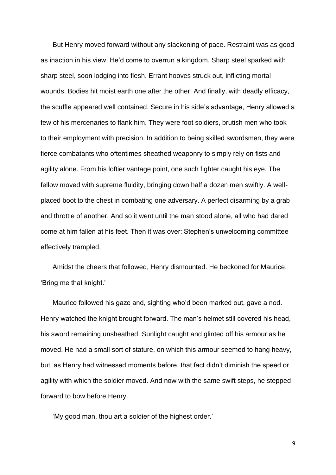But Henry moved forward without any slackening of pace. Restraint was as good as inaction in his view. He'd come to overrun a kingdom. Sharp steel sparked with sharp steel, soon lodging into flesh. Errant hooves struck out, inflicting mortal wounds. Bodies hit moist earth one after the other. And finally, with deadly efficacy, the scuffle appeared well contained. Secure in his side's advantage, Henry allowed a few of his mercenaries to flank him. They were foot soldiers, brutish men who took to their employment with precision. In addition to being skilled swordsmen, they were fierce combatants who oftentimes sheathed weaponry to simply rely on fists and agility alone. From his loftier vantage point, one such fighter caught his eye. The fellow moved with supreme fluidity, bringing down half a dozen men swiftly. A wellplaced boot to the chest in combating one adversary. A perfect disarming by a grab and throttle of another. And so it went until the man stood alone, all who had dared come at him fallen at his feet. Then it was over: Stephen's unwelcoming committee effectively trampled.

Amidst the cheers that followed, Henry dismounted. He beckoned for Maurice. 'Bring me that knight.'

Maurice followed his gaze and, sighting who'd been marked out, gave a nod. Henry watched the knight brought forward. The man's helmet still covered his head, his sword remaining unsheathed. Sunlight caught and glinted off his armour as he moved. He had a small sort of stature, on which this armour seemed to hang heavy, but, as Henry had witnessed moments before, that fact didn't diminish the speed or agility with which the soldier moved. And now with the same swift steps, he stepped forward to bow before Henry.

'My good man, thou art a soldier of the highest order.'